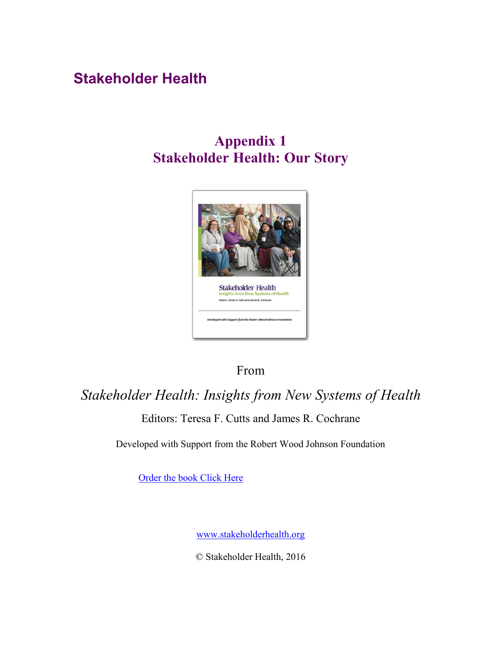# **Stakeholder Health**

## **Appendix 1 Stakeholder Health: Our Story**



### From

# *Stakeholder Health: Insights from New Systems of Health* Editors: Teresa F. Cutts and James R. Cochrane

Developed with Support from the Robert Wood Johnson Foundation

Order the [book Click Here](https://www.amazon.com/Stakeholder-Health-Insights-New-Systems/dp/069270728X?ie=UTF8&keywords=%26%2334%3Bstakeholder%20health%26%2334%3B&qid=1464881294&ref_=sr_1_2&s=books&sr=1-2)

[www.stakeholderhealth.org](http://www.stakeholderhealth.org/)

© Stakeholder Health, 2016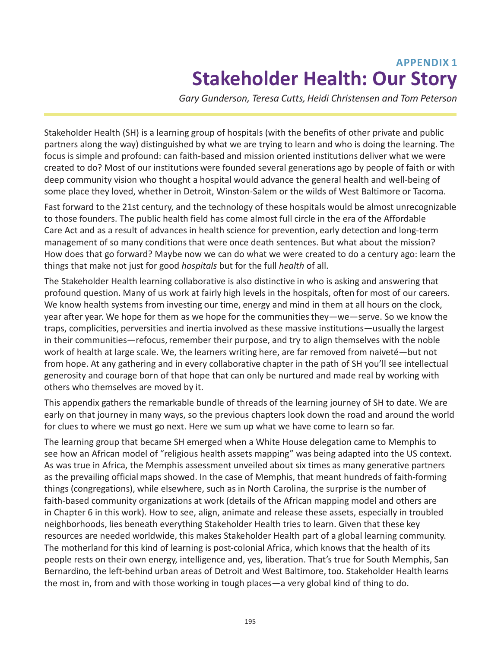### **APPENDIX 1 Stakeholder Health: Our Story**

*Gary Gunderson, Teresa Cutts, Heidi Christensen and Tom Peterson*

Stakeholder Health (SH) is a learning group of hospitals (with the benefits of other private and public partners along the way) distinguished by what we are trying to learn and who is doing the learning. The focus is simple and profound: can faith-based and mission oriented institutions deliver what we were created to do? Most of our institutions were founded several generations ago by people of faith or with deep community vision who thought a hospital would advance the general health and well-being of some place they loved, whether in Detroit, Winston-Salem or the wilds of West Baltimore or Tacoma.

Fast forward to the 21st century, and the technology of these hospitals would be almost unrecognizable to those founders. The public health field has come almost full circle in the era of the Affordable Care Act and as a result of advances in health science for prevention, early detection and long-term management of so many conditions that were once death sentences. But what about the mission? How does that go forward? Maybe now we can do what we were created to do a century ago: learn the things that make not just for good *hospitals* but for the full *health* of all.

The Stakeholder Health learning collaborative is also distinctive in who is asking and answering that profound question. Many of us work at fairly high levels in the hospitals, often for most of our careers. We know health systems from investing our time, energy and mind in them at all hours on the clock, year after year. We hope for them as we hope for the communitiesthey—we—serve. So we know the traps, complicities, perversities and inertia involved as these massive institutions—usually the largest in their communities—refocus, remember their purpose, and try to align themselves with the noble work of health at large scale. We, the learners writing here, are far removed from naiveté—but not from hope. At any gathering and in every collaborative chapter in the path of SH you'll see intellectual generosity and courage born of that hope that can only be nurtured and made real by working with others who themselves are moved by it.

This appendix gathers the remarkable bundle of threads of the learning journey of SH to date. We are early on that journey in many ways, so the previous chapters look down the road and around the world for clues to where we must go next. Here we sum up what we have come to learn so far.

The learning group that became SH emerged when a White House delegation came to Memphis to see how an African model of "religious health assets mapping" was being adapted into the US context. As was true in Africa, the Memphis assessment unveiled about six times as many generative partners as the prevailing official maps showed. In the case of Memphis, that meant hundreds of faith-forming things (congregations), while elsewhere, such as in North Carolina, the surprise is the number of faith-based community organizations at work (details of the African mapping model and others are in Chapter 6 in this work). How to see, align, animate and release these assets, especially in troubled neighborhoods, lies beneath everything Stakeholder Health tries to learn. Given that these key resources are needed worldwide, this makes Stakeholder Health part of a global learning community. The motherland for this kind of learning is post-colonial Africa, which knows that the health of its people rests on their own energy, intelligence and, yes, liberation. That's true for South Memphis, San Bernardino, the left-behind urban areas of Detroit and West Baltimore, too. Stakeholder Health learns the most in, from and with those working in tough places—a very global kind of thing to do.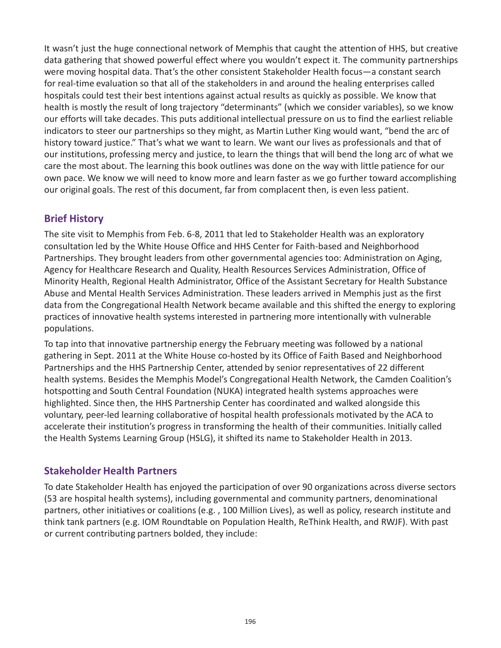It wasn't just the huge connectional network of Memphis that caught the attention of HHS, but creative data gathering that showed powerful effect where you wouldn't expect it. The community partnerships were moving hospital data. That's the other consistent Stakeholder Health focus—a constant search for real-time evaluation so that all of the stakeholders in and around the healing enterprises called hospitals could test their best intentions against actual results as quickly as possible. We know that health is mostly the result of long trajectory "determinants" (which we consider variables), so we know our efforts will take decades. This puts additional intellectual pressure on us to find the earliest reliable indicators to steer our partnerships so they might, as Martin Luther King would want, "bend the arc of history toward justice." That's what we want to learn. We want our lives as professionals and that of our institutions, professing mercy and justice, to learn the things that will bend the long arc of what we care the most about. The learning this book outlines was done on the way with little patience for our own pace. We know we will need to know more and learn faster as we go further toward accomplishing our original goals. The rest of this document, far from complacent then, is even less patient.

#### **Brief History**

The site visit to Memphis from Feb. 6-8, 2011 that led to Stakeholder Health was an exploratory consultation led by the White House Office and HHS Center for Faith-based and Neighborhood Partnerships. They brought leaders from other governmental agencies too: Administration on Aging, Agency for Healthcare Research and Quality, Health Resources Services Administration, Office of Minority Health, Regional Health Administrator, Office of the Assistant Secretary for Health Substance Abuse and Mental Health Services Administration. These leaders arrived in Memphis just as the first data from the Congregational Health Network became available and this shifted the energy to exploring practices of innovative health systems interested in partnering more intentionally with vulnerable populations.

To tap into that innovative partnership energy the February meeting was followed by a national gathering in Sept. 2011 at the White House co-hosted by its Office of Faith Based and Neighborhood Partnerships and the HHS Partnership Center, attended by senior representatives of 22 different health systems. Besides the Memphis Model's Congregational Health Network, the Camden Coalition's hotspotting and South Central Foundation (NUKA) integrated health systems approaches were highlighted. Since then, the HHS Partnership Center has coordinated and walked alongside this voluntary, peer-led learning collaborative of hospital health professionals motivated by the ACA to accelerate their institution's progress in transforming the health of their communities. Initially called the Health Systems Learning Group (HSLG), it shifted its name to Stakeholder Health in 2013.

#### **Stakeholder Health Partners**

To date Stakeholder Health has enjoyed the participation of over 90 organizations across diverse sectors (53 are hospital health systems), including governmental and community partners, denominational partners, other initiatives or coalitions(e.g. , 100 Million Lives), as well as policy, research institute and think tank partners (e.g. IOM Roundtable on Population Health, ReThink Health, and RWJF). With past or current contributing partners bolded, they include: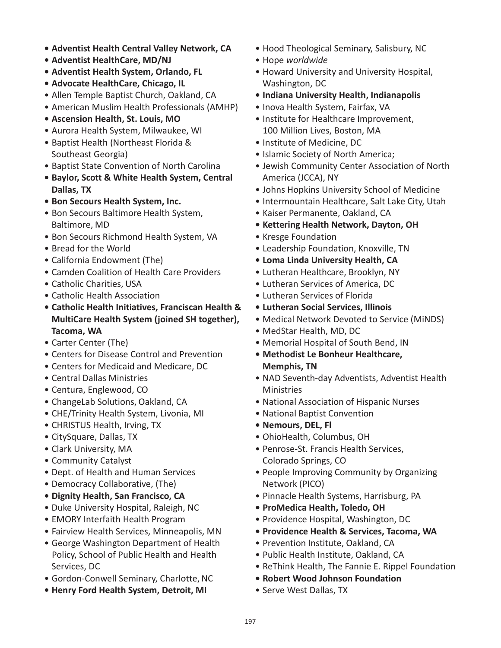- **• Adventist Health Central Valley Network, CA**
- **• Adventist HealthCare, MD/NJ**
- **• Adventist Health System, Orlando, FL**
- **• Advocate HealthCare, Chicago, IL**
- Allen Temple Baptist Church, Oakland, CA
- American Muslim Health Professionals (AMHP)
- **• Ascension Health, St. Louis, MO**
- Aurora Health System, Milwaukee, WI
- Baptist Health (Northeast Florida & Southeast Georgia)
- Baptist State Convention of North Carolina
- **• Baylor, Scott & White Health System, Central Dallas, TX**
- **• Bon Secours Health System, Inc.**
- Bon Secours Baltimore Health System, Baltimore, MD
- Bon Secours Richmond Health System, VA
- Bread for the World
- California Endowment (The)
- Camden Coalition of Health Care Providers
- Catholic Charities, USA
- Catholic Health Association
- **• Catholic Health Initiatives, Franciscan Health & MultiCare Health System (joined SH together), Tacoma, WA**
- Carter Center (The)
- Centers for Disease Control and Prevention
- Centers for Medicaid and Medicare, DC
- Central Dallas Ministries
- Centura, Englewood, CO
- ChangeLab Solutions, Oakland, CA
- CHE/Trinity Health System, Livonia, MI
- CHRISTUS Health, Irving, TX
- CitySquare, Dallas, TX
- Clark University, MA
- Community Catalyst
- Dept. of Health and Human Services
- Democracy Collaborative, (The)
- **• Dignity Health, San Francisco, CA**
- Duke University Hospital, Raleigh, NC
- EMORY Interfaith Health Program
- Fairview Health Services, Minneapolis, MN
- George Washington Department of Health Policy, School of Public Health and Health Services, DC
- Gordon-Conwell Seminary, Charlotte, NC
- **• Henry Ford Health System, Detroit, MI**
- Hood Theological Seminary, Salisbury, NC
- Hope *worldwide*
- Howard University and University Hospital, Washington, DC
- **• Indiana University Health, Indianapolis**
- Inova Health System, Fairfax, VA
- Institute for Healthcare Improvement, 100 Million Lives, Boston, MA
- Institute of Medicine, DC
- Islamic Society of North America;
- Jewish Community Center Association of North America (JCCA), NY
- Johns Hopkins University School of Medicine
- Intermountain Healthcare, Salt Lake City, Utah
- Kaiser Permanente, Oakland, CA
- **• Kettering Health Network, Dayton, OH**
- Kresge Foundation
- Leadership Foundation, Knoxville, TN
- **• Loma Linda University Health, CA**
- Lutheran Healthcare, Brooklyn, NY
- Lutheran Services of America, DC
- Lutheran Services of Florida
- **• Lutheran Social Services, Illinois**
- Medical Network Devoted to Service (MiNDS)
- MedStar Health, MD, DC
- Memorial Hospital of South Bend, IN
- **• Methodist Le Bonheur Healthcare, Memphis, TN**
- NAD Seventh-day Adventists, Adventist Health **Ministries**
- National Association of Hispanic Nurses
- National Baptist Convention
- **• Nemours, DEL, Fl**
- OhioHealth, Columbus, OH
- Penrose-St. Francis Health Services, Colorado Springs, CO
- People Improving Community by Organizing Network (PICO)
- Pinnacle Health Systems, Harrisburg, PA
- **• ProMedica Health, Toledo, OH**
- Providence Hospital, Washington, DC
- **• Providence Health & Services, Tacoma, WA**
- Prevention Institute, Oakland, CA
- Public Health Institute, Oakland, CA
- ReThink Health, The Fannie E. Rippel Foundation
- **• Robert Wood Johnson Foundation**
- Serve West Dallas, TX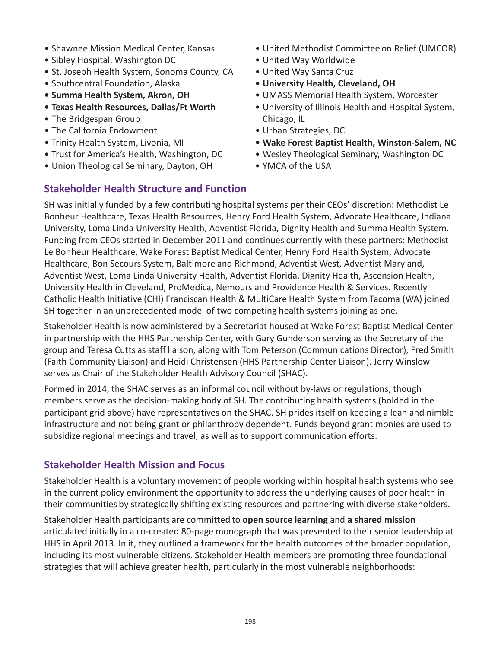- Shawnee Mission Medical Center, Kansas
- Sibley Hospital, Washington DC
- St. Joseph Health System, Sonoma County, CA
- Southcentral Foundation, Alaska
- **• Summa Health System, Akron, OH**
- **• Texas Health Resources, Dallas/Ft Worth**
- The Bridgespan Group
- The California Endowment
- Trinity Health System, Livonia, MI
- Trust for America's Health, Washington, DC
- Union Theological Seminary, Dayton, OH
- United Methodist Committee on Relief (UMCOR)
- United Way Worldwide
- United Way Santa Cruz
- **• University Health, Cleveland, OH**
- UMASS Memorial Health System, Worcester
- University of Illinois Health and Hospital System, Chicago, IL
- Urban Strategies, DC
- **• Wake Forest Baptist Health, Winston-Salem, NC**
- Wesley Theological Seminary, Washington DC
- YMCA of the USA

#### **Stakeholder Health Structure and Function**

SH was initially funded by a few contributing hospital systems per their CEOs' discretion: Methodist Le Bonheur Healthcare, Texas Health Resources, Henry Ford Health System, Advocate Healthcare, Indiana University, Loma Linda University Health, Adventist Florida, Dignity Health and Summa Health System. Funding from CEOs started in December 2011 and continues currently with these partners: Methodist Le Bonheur Healthcare, Wake Forest Baptist Medical Center, Henry Ford Health System, Advocate Healthcare, Bon Secours System, Baltimore and Richmond, Adventist West, Adventist Maryland, Adventist West, Loma Linda University Health, Adventist Florida, Dignity Health, Ascension Health, University Health in Cleveland, ProMedica, Nemours and Providence Health & Services. Recently Catholic Health Initiative (CHI) Franciscan Health & MultiCare Health System from Tacoma (WA) joined SH together in an unprecedented model of two competing health systems joining as one.

Stakeholder Health is now administered by a Secretariat housed at Wake Forest Baptist Medical Center in partnership with the HHS Partnership Center, with Gary Gunderson serving as the Secretary of the group and Teresa Cutts as staff liaison, along with Tom Peterson (Communications Director), Fred Smith (Faith Community Liaison) and Heidi Christensen (HHS Partnership Center Liaison). Jerry Winslow serves as Chair of the Stakeholder Health Advisory Council (SHAC).

Formed in 2014, the SHAC serves as an informal council without by-laws or regulations, though members serve as the decision-making body of SH. The contributing health systems (bolded in the participant grid above) have representatives on the SHAC. SH prides itself on keeping a lean and nimble infrastructure and not being grant or philanthropy dependent. Funds beyond grant monies are used to subsidize regional meetings and travel, as well as to support communication efforts.

#### **Stakeholder Health Mission and Focus**

Stakeholder Health is a voluntary movement of people working within hospital health systems who see in the current policy environment the opportunity to address the underlying causes of poor health in their communities by strategically shifting existing resources and partnering with diverse stakeholders.

Stakeholder Health participants are committed to **open source learning** and **a shared mission**  articulated initially in a co-created 80-page monograph that was presented to their senior leadership at HHS in April 2013. In it, they outlined a framework for the health outcomes of the broader population, including its most vulnerable citizens. Stakeholder Health members are promoting three foundational strategies that will achieve greater health, particularly in the most vulnerable neighborhoods: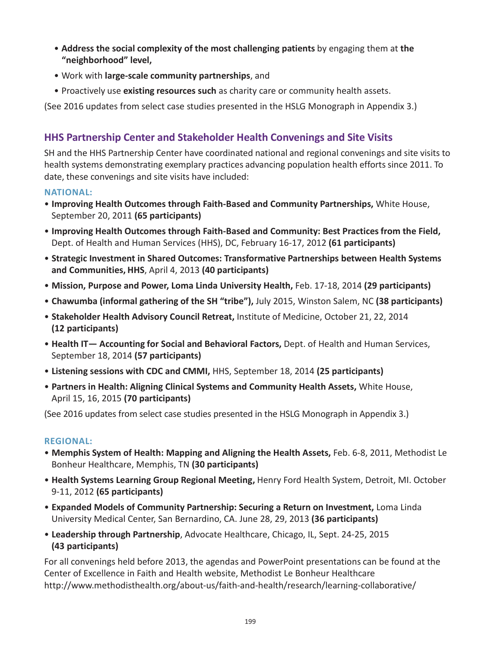- **Address the social complexity of the most challenging patients** by engaging them at **the "neighborhood" level,**
- Work with **large-scale community partnerships**, and
- Proactively use **existing resources such** as charity care or community health assets.

(See 2016 updates from select case studies presented in the HSLG Monograph in Appendix 3.)

### **HHS Partnership Center and Stakeholder Health Convenings and Site Visits**

SH and the HHS Partnership Center have coordinated national and regional convenings and site visits to health systems demonstrating exemplary practices advancing population health efforts since 2011. To date, these convenings and site visits have included:

#### **NATIONAL:**

- **Improving Health Outcomes through Faith-Based and Community Partnerships,** White House, September 20, 2011 **(65 participants)**
- **Improving Health Outcomes through Faith-Based and Community: Best Practicesfrom the Field,** Dept. of Health and Human Services (HHS), DC, February 16-17, 2012 **(61 participants)**
- **Strategic Investment in Shared Outcomes: Transformative Partnerships between Health Systems and Communities, HHS**, April 4, 2013 **(40 participants)**
- **Mission, Purpose and Power, Loma Linda University Health,** Feb. 17-18, 2014 **(29 participants)**
- **Chawumba (informal gathering of the SH "tribe"),** July 2015, Winston Salem, NC **(38 participants)**
- **Stakeholder Health Advisory Council Retreat,** Institute of Medicine, October 21, 22, 2014 **(12 participants)**
- **Health IT— Accounting for Social and Behavioral Factors,** Dept. of Health and Human Services, September 18, 2014 **(57 participants)**
- **Listening sessions with CDC and CMMI,** HHS, September 18, 2014 **(25 participants)**
- **Partners in Health: Aligning Clinical Systems and Community Health Assets,** White House, April 15, 16, 2015 **(70 participants)**

(See 2016 updates from select case studies presented in the HSLG Monograph in Appendix 3.)

#### **REGIONAL:**

- **Memphis System of Health: Mapping and Aligning the Health Assets,** Feb. 6-8, 2011, Methodist Le Bonheur Healthcare, Memphis, TN **(30 participants)**
- **Health Systems Learning Group Regional Meeting,** Henry Ford Health System, Detroit, MI. October 9-11, 2012 **(65 participants)**
- **Expanded Models of Community Partnership: Securing a Return on Investment,** Loma Linda University Medical Center, San Bernardino, CA. June 28, 29, 2013 **(36 participants)**
- **Leadership through Partnership**, Advocate Healthcare, Chicago, IL, Sept. 24-25, 2015 **(43 participants)**

For all convenings held before 2013, the agendas and PowerPoint presentations ca[n be found at the](http://www.methodisthealth.org/about-us/faith-and-health/research/learning-collaborative/)  Center of Excellence in Faith and Health website, Methodist Le Bonheur Healthcare <http://www.methodisthealth.org/about-us/faith-and-health/research/learning-collaborative/>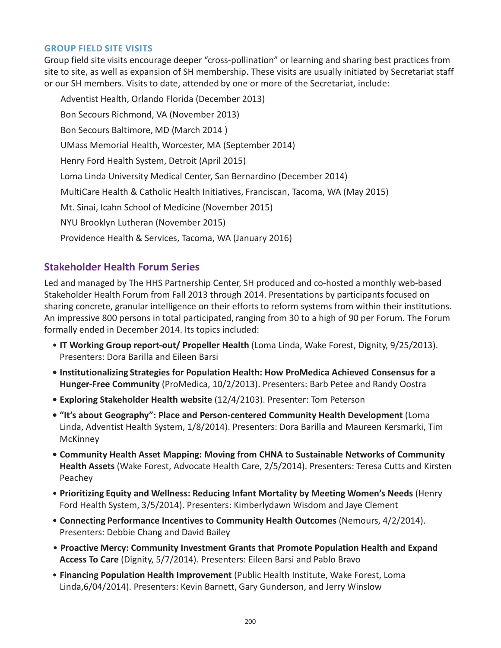#### **GROUP FIELD SITE VISITS**

Group field site visits encourage deeper "cross-pollination" or learning and sharing best practices from site to site, as well as expansion of SH membership. These visits are usually initiated by Secretariat staff or our SH members. Visits to date, attended by one or more of the Secretariat, include:

Adventist Health, Orlando Florida (December 2013) Bon Secours Richmond, VA (November 2013) Bon Secours Baltimore, MD (March 2014 ) UMass Memorial Health, Worcester, MA (September 2014) Henry Ford Health System, Detroit (April 2015) Loma Linda University Medical Center, San Bernardino (December 2014) MultiCare Health & Catholic Health Initiatives, Franciscan, Tacoma, WA (May 2015) Mt. Sinai, Icahn School of Medicine (November 2015) NYU Brooklyn Lutheran (November 2015) Providence Health & Services, Tacoma, WA (January 2016)

#### **Stakeholder Health Forum Series**

Led and managed by The HHS Partnership Center, SH produced and co-hosted a monthly web-based Stakeholder Health Forum from Fall 2013 through 2014. Presentations by participantsfocused on sharing concrete, granular intelligence on their efforts to reform systems from within their institutions. An impressive 800 persons in total participated, ranging from 30 to a high of 90 per Forum. The Forum formally ended in December 2014. Its topics included:

- **IT Working Group report-out/ Propeller Health** (Loma Linda, Wake Forest, Dignity, 9/25/2013). Presenters: Dora Barilla and Eileen Barsi
- **• Institutionalizing Strategies for Population Health: How ProMedica Achieved Consensus for a Hunger-Free Community** (ProMedica, 10/2/2013). Presenters: Barb Petee and Randy Oostra
- **• Exploring Stakeholder Health website** (12/4/2103). Presenter: Tom Peterson
- **• "It's about Geography": Place and Person-centered Community Health Development** (Loma Linda, Adventist Health System, 1/8/2014). Presenters: Dora Barilla and Maureen Kersmarki, Tim **McKinney**
- **• Community Health Asset Mapping: Moving from CHNA to Sustainable Networks of Community Health Assets** (Wake Forest, Advocate Health Care, 2/5/2014). Presenters: Teresa Cutts and Kirsten Peachey
- **Prioritizing Equity and Wellness: Reducing Infant Mortality by Meeting Women's Needs** (Henry Ford Health System, 3/5/2014). Presenters: Kimberlydawn Wisdom and Jaye Clement
- **Connecting Performance Incentives to Community Health Outcomes** (Nemours, 4/2/2014). Presenters: Debbie Chang and David Bailey
- **Proactive Mercy: Community Investment Grants that Promote Population Health and Expand Access To Care** (Dignity, 5/7/2014). Presenters: Eileen Barsi and Pablo Bravo
- **Financing Population Health Improvement** (Public Health Institute, Wake Forest, Loma Linda,6/04/2014). Presenters: Kevin Barnett, Gary Gunderson, and Jerry Winslow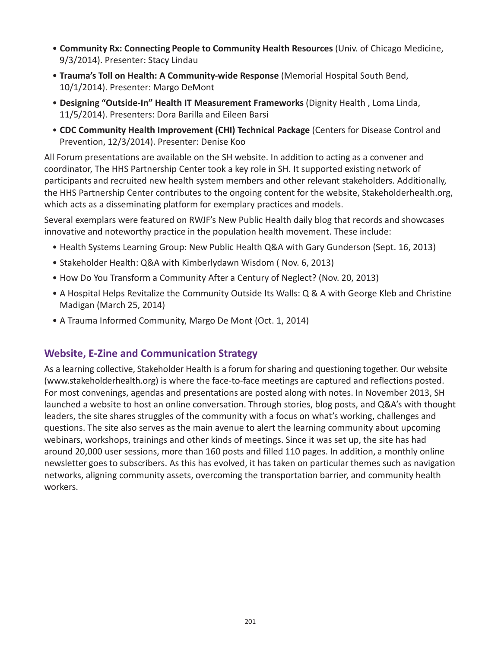- **Community Rx: Connecting People to Community Health Resources** (Univ. of Chicago Medicine, 9/3/2014). Presenter: Stacy Lindau
- **Trauma's Toll on Health: A Community-wide Response** (Memorial Hospital South Bend, 10/1/2014). Presenter: Margo DeMont
- **Designing "Outside-In" Health IT Measurement Frameworks** (Dignity Health , Loma Linda, 11/5/2014). Presenters: Dora Barilla and Eileen Barsi
- **CDC Community Health Improvement (CHI) Technical Package** (Centers for Disease Control and Prevention, 12/3/2014). Presenter: Denise Koo

All Forum presentations are available on the SH website. In addition to acting as a convener and coordinator, The HHS Partnership Center took a key role in SH. It supported existing network of participants and recruited new health system members and other relevant stakeholders. Additionally, the HHS Partnership Center contributes to the ongoing content for the website, Stakeholderhealth.org, which acts as a disseminating platform for exemplary practices and models.

Several exemplars were featured on RWJF's New Public Health daily blog that records and showcases innovative and noteworthy practice in the population health movement. These include:

- Health Systems Learning Group: New Public Health Q&A with Gary Gunderson (Sept. 16, 2013)
- Stakeholder Health: Q&A with Kimberlydawn Wisdom ( Nov. 6, 2013)
- How Do You Transform a Community After a Century of Neglect? (Nov. 20, 2013)
- A Hospital Helps Revitalize the Community Outside Its Walls: Q & A with George Kleb and Christine Madigan (March 25, 2014)
- A Trauma Informed Community, Margo De Mont (Oct. 1, 2014)

#### **Website, E-Zine and Communication Strategy**

As a learning collective, Stakeholder Health is a forum for sharing and questioning together. Our website (www.stakeholderhealth.org) is where the face-to-face meetings are captured and reflections posted. For most convenings, agendas and presentations are posted along with notes. In November 2013, SH launched a website to host an online conversation. Through stories, blog posts, and Q&A's with thought leaders, the site shares struggles of the community with a focus on what's working, challenges and questions. The site also serves as the main avenue to alert the learning community about upcoming webinars, workshops, trainings and other kinds of meetings. Since it was set up, the site has had around 20,000 user sessions, more than 160 posts and filled 110 pages. In addition, a monthly online newsletter goes to subscribers. As this has evolved, it has taken on particular themes such as navigation networks, aligning community assets, overcoming the transportation barrier, and community health workers.